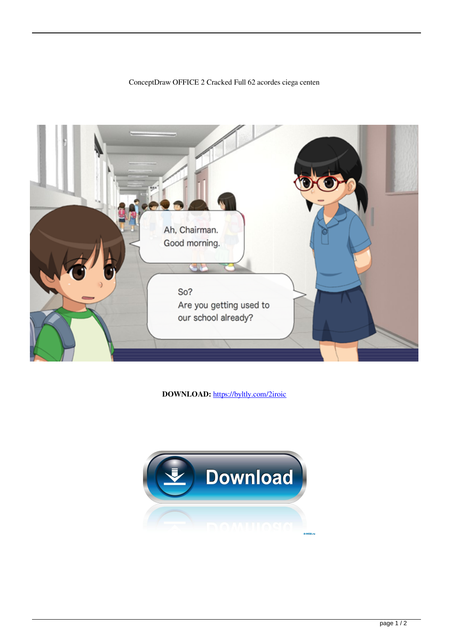## Ah, Chairman. Good morning. So? Are you getting used to our school already?

ConceptDraw OFFICE 2 Cracked Full 62 acordes ciega centen

DOWNLOAD: https://byltly.com/2iroic